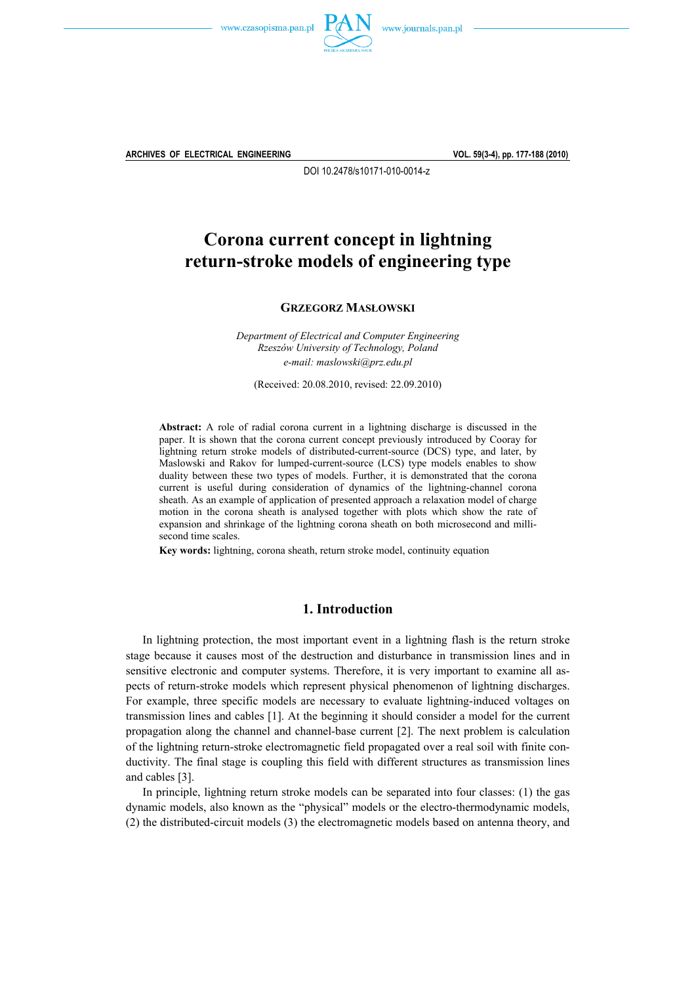



**ARCHIVES OF ELECTRICAL ENGINEERING VOL. 59(3-4), pp. 177-188 (2010)**

DOI 10.2478/s10171-010-0014-z

# **Corona current concept in lightning return-stroke models of engineering type**

**GRZEGORZ MASŁOWSKI**

*Department of Electrical and Computer Engineering Rzeszów University of Technology, Poland e-mail: maslowski@prz.edu.pl* 

(Received: 20.08.2010, revised: 22.09.2010)

**Abstract:** A role of radial corona current in a lightning discharge is discussed in the paper. It is shown that the corona current concept previously introduced by Cooray for lightning return stroke models of distributed-current-source (DCS) type, and later, by Maslowski and Rakov for lumped-current-source (LCS) type models enables to show duality between these two types of models. Further, it is demonstrated that the corona current is useful during consideration of dynamics of the lightning-channel corona sheath. As an example of application of presented approach a relaxation model of charge motion in the corona sheath is analysed together with plots which show the rate of expansion and shrinkage of the lightning corona sheath on both microsecond and millisecond time scales.

**Key words:** lightning, corona sheath, return stroke model, continuity equation

### **1. Introduction**

 In lightning protection, the most important event in a lightning flash is the return stroke stage because it causes most of the destruction and disturbance in transmission lines and in sensitive electronic and computer systems. Therefore, it is very important to examine all aspects of return-stroke models which represent physical phenomenon of lightning discharges. For example, three specific models are necessary to evaluate lightning-induced voltages on transmission lines and cables [1]. At the beginning it should consider a model for the current propagation along the channel and channel-base current [2]. The next problem is calculation of the lightning return-stroke electromagnetic field propagated over a real soil with finite conductivity. The final stage is coupling this field with different structures as transmission lines and cables [3].

 In principle, lightning return stroke models can be separated into four classes: (1) the gas dynamic models, also known as the "physical" models or the electro-thermodynamic models, (2) the distributed-circuit models (3) the electromagnetic models based on antenna theory, and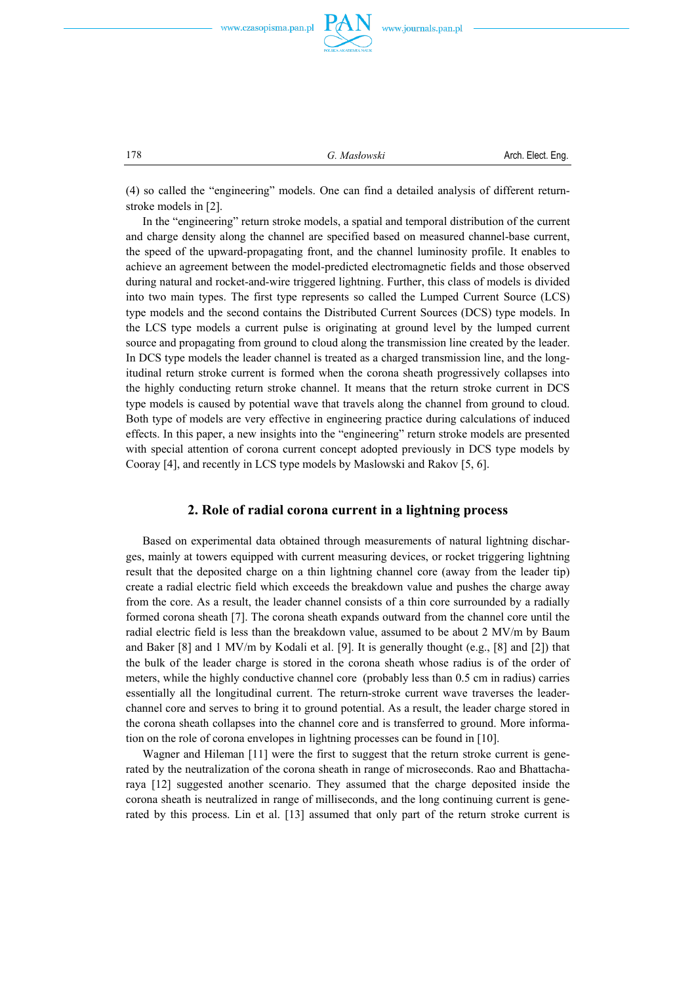



178 *G. Masłowski* Arch. Elect. Eng.

(4) so called the "engineering" models. One can find a detailed analysis of different returnstroke models in [2].

 In the "engineering" return stroke models, a spatial and temporal distribution of the current and charge density along the channel are specified based on measured channel-base current, the speed of the upward-propagating front, and the channel luminosity profile. It enables to achieve an agreement between the model-predicted electromagnetic fields and those observed during natural and rocket-and-wire triggered lightning. Further, this class of models is divided into two main types. The first type represents so called the Lumped Current Source (LCS) type models and the second contains the Distributed Current Sources (DCS) type models. In the LCS type models a current pulse is originating at ground level by the lumped current source and propagating from ground to cloud along the transmission line created by the leader. In DCS type models the leader channel is treated as a charged transmission line, and the longitudinal return stroke current is formed when the corona sheath progressively collapses into the highly conducting return stroke channel. It means that the return stroke current in DCS type models is caused by potential wave that travels along the channel from ground to cloud. Both type of models are very effective in engineering practice during calculations of induced effects. In this paper, a new insights into the "engineering" return stroke models are presented with special attention of corona current concept adopted previously in DCS type models by Cooray [4], and recently in LCS type models by Maslowski and Rakov [5, 6].

### **2. Role of radial corona current in a lightning process**

 Based on experimental data obtained through measurements of natural lightning discharges, mainly at towers equipped with current measuring devices, or rocket triggering lightning result that the deposited charge on a thin lightning channel core (away from the leader tip) create a radial electric field which exceeds the breakdown value and pushes the charge away from the core. As a result, the leader channel consists of a thin core surrounded by a radially formed corona sheath [7]. The corona sheath expands outward from the channel core until the radial electric field is less than the breakdown value, assumed to be about 2 MV/m by Baum and Baker [8] and 1 MV/m by Kodali et al. [9]. It is generally thought (e.g., [8] and [2]) that the bulk of the leader charge is stored in the corona sheath whose radius is of the order of meters, while the highly conductive channel core (probably less than 0.5 cm in radius) carries essentially all the longitudinal current. The return-stroke current wave traverses the leaderchannel core and serves to bring it to ground potential. As a result, the leader charge stored in the corona sheath collapses into the channel core and is transferred to ground. More information on the role of corona envelopes in lightning processes can be found in [10].

 Wagner and Hileman [11] were the first to suggest that the return stroke current is generated by the neutralization of the corona sheath in range of microseconds. Rao and Bhattacharaya [12] suggested another scenario. They assumed that the charge deposited inside the corona sheath is neutralized in range of milliseconds, and the long continuing current is generated by this process. Lin et al. [13] assumed that only part of the return stroke current is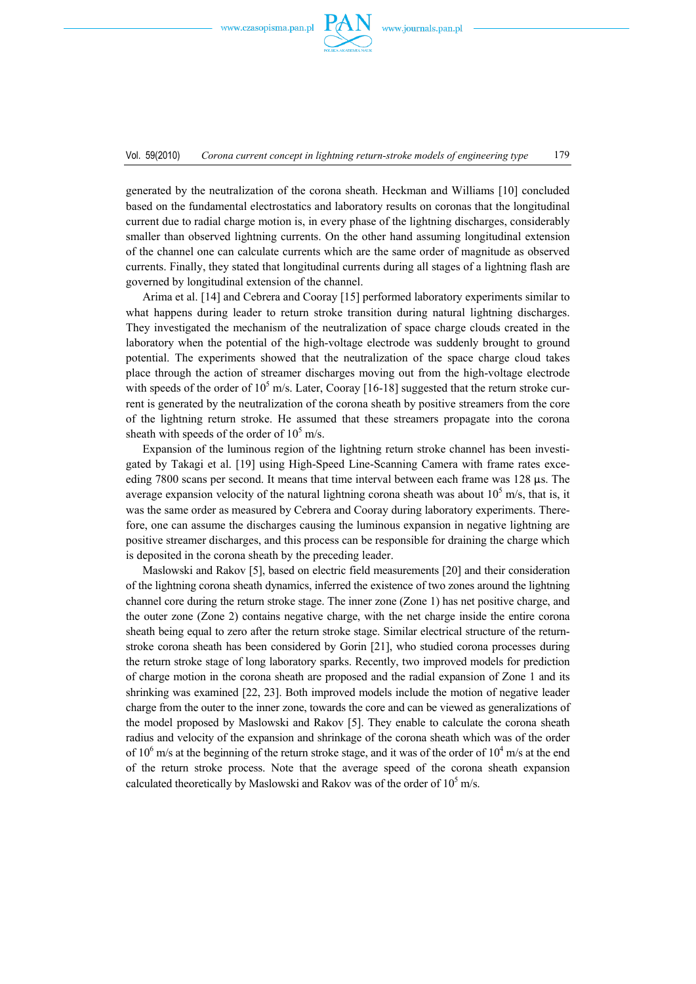

generated by the neutralization of the corona sheath. Heckman and Williams [10] concluded based on the fundamental electrostatics and laboratory results on coronas that the longitudinal current due to radial charge motion is, in every phase of the lightning discharges, considerably smaller than observed lightning currents. On the other hand assuming longitudinal extension of the channel one can calculate currents which are the same order of magnitude as observed currents. Finally, they stated that longitudinal currents during all stages of a lightning flash are governed by longitudinal extension of the channel.

 Arima et al. [14] and Cebrera and Cooray [15] performed laboratory experiments similar to what happens during leader to return stroke transition during natural lightning discharges. They investigated the mechanism of the neutralization of space charge clouds created in the laboratory when the potential of the high-voltage electrode was suddenly brought to ground potential. The experiments showed that the neutralization of the space charge cloud takes place through the action of streamer discharges moving out from the high-voltage electrode with speeds of the order of  $10^5$  m/s. Later, Cooray [16-18] suggested that the return stroke current is generated by the neutralization of the corona sheath by positive streamers from the core of the lightning return stroke. He assumed that these streamers propagate into the corona sheath with speeds of the order of  $10^5$  m/s.

 Expansion of the luminous region of the lightning return stroke channel has been investigated by Takagi et al. [19] using High-Speed Line-Scanning Camera with frame rates exceeding 7800 scans per second. It means that time interval between each frame was  $128 \mu s$ . The average expansion velocity of the natural lightning corona sheath was about  $10<sup>5</sup>$  m/s, that is, it was the same order as measured by Cebrera and Cooray during laboratory experiments. Therefore, one can assume the discharges causing the luminous expansion in negative lightning are positive streamer discharges, and this process can be responsible for draining the charge which is deposited in the corona sheath by the preceding leader.

 Maslowski and Rakov [5], based on electric field measurements [20] and their consideration of the lightning corona sheath dynamics, inferred the existence of two zones around the lightning channel core during the return stroke stage. The inner zone (Zone 1) has net positive charge, and the outer zone (Zone 2) contains negative charge, with the net charge inside the entire corona sheath being equal to zero after the return stroke stage. Similar electrical structure of the returnstroke corona sheath has been considered by Gorin [21], who studied corona processes during the return stroke stage of long laboratory sparks. Recently, two improved models for prediction of charge motion in the corona sheath are proposed and the radial expansion of Zone 1 and its shrinking was examined [22, 23]. Both improved models include the motion of negative leader charge from the outer to the inner zone, towards the core and can be viewed as generalizations of the model proposed by Maslowski and Rakov [5]. They enable to calculate the corona sheath radius and velocity of the expansion and shrinkage of the corona sheath which was of the order of 10<sup>6</sup> m/s at the beginning of the return stroke stage, and it was of the order of 10<sup>4</sup> m/s at the end of the return stroke process. Note that the average speed of the corona sheath expansion calculated theoretically by Maslowski and Rakov was of the order of  $10^5$  m/s.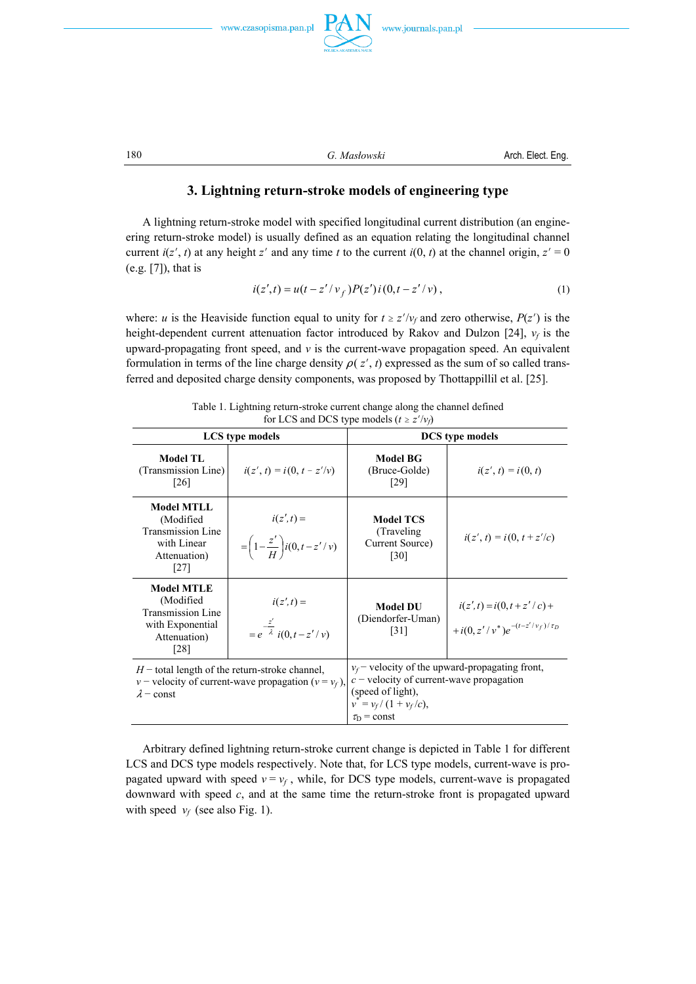

www.journals.pan.pl

180 **G.** Mas*lowski* **Arch. Elect. Eng.** 

## **3. Lightning return-stroke models of engineering type**

 A lightning return-stroke model with specified longitudinal current distribution (an engineering return-stroke model) is usually defined as an equation relating the longitudinal channel current  $i(z', t)$  at any height *z'* and any time *t* to the current  $i(0, t)$  at the channel origin,  $z' = 0$ (e.g. [7]), that is

$$
i(z',t) = u(t - z'/v_f)P(z')i(0,t - z'/v),
$$
\n(1)

where: *u* is the Heaviside function equal to unity for  $t \geq z'/v_f$  and zero otherwise,  $P(z')$  is the height-dependent current attenuation factor introduced by Rakov and Dulzon  $[24]$ ,  $v_f$  is the upward-propagating front speed, and  $\nu$  is the current-wave propagation speed. An equivalent formulation in terms of the line charge density  $\rho(z', t)$  expressed as the sum of so called transferred and deposited charge density components, was proposed by Thottappillil et al. [25].

Table 1. Lightning return-stroke current change along the channel defined for LCS and DCS type models ( $t \ge z'/v_f$ )

| <b>LCS</b> type models                                                                                                             |                                                             | <b>DCS</b> type models                                                                                                                                               |                                                                         |
|------------------------------------------------------------------------------------------------------------------------------------|-------------------------------------------------------------|----------------------------------------------------------------------------------------------------------------------------------------------------------------------|-------------------------------------------------------------------------|
| <b>Model TL</b><br>(Transmission Line)<br>[26]                                                                                     | $i(z', t) = i(0, t - z'/v)$                                 | <b>Model BG</b><br>(Bruce-Golde)<br>[29]                                                                                                                             | $i(z', t) = i(0, t)$                                                    |
| <b>Model MTLL</b><br>(Modified<br><b>Transmission Line</b><br>with Linear<br>Attenuation)<br>[27]                                  | $i(z',t) =$<br>$=\left(1-\frac{z'}{H}\right)i(0,t-z'/\nu)$  | <b>Model TCS</b><br>(Traveling)<br>Current Source)<br>[30]                                                                                                           | $i(z', t) = i(0, t + z'/c)$                                             |
| <b>Model MTLE</b><br>(Modified<br><b>Transmission Line</b><br>with Exponential<br>Attenuation)<br>[28]                             | $i(z',t) =$<br>$= e^{-\frac{z'}{\lambda}} i(0, t - z'/\nu)$ | <b>Model DU</b><br>(Diendorfer-Uman)<br>$\lceil 31 \rceil$                                                                                                           | $i(z', t) = i(0, t + z'/c) +$<br>+ $i(0, z'/v^*)e^{-(t-z'/v_f)/\tau_D}$ |
| $H$ – total length of the return-stroke channel,<br>$v$ – velocity of current-wave propagation ( $v = v_f$ ),<br>$\lambda$ – const |                                                             | $v_f$ velocity of the upward-propagating front,<br>$c$ – velocity of current-wave propagation<br>(speed of light),<br>$v^* = v_f/(1 + v_f/c),$<br>$\tau_{D}$ = const |                                                                         |

 Arbitrary defined lightning return-stroke current change is depicted in Table 1 for different LCS and DCS type models respectively. Note that, for LCS type models, current-wave is propagated upward with speed  $v = v_f$ , while, for DCS type models, current-wave is propagated downward with speed *c*, and at the same time the return-stroke front is propagated upward with speed  $v_f$  (see also Fig. 1).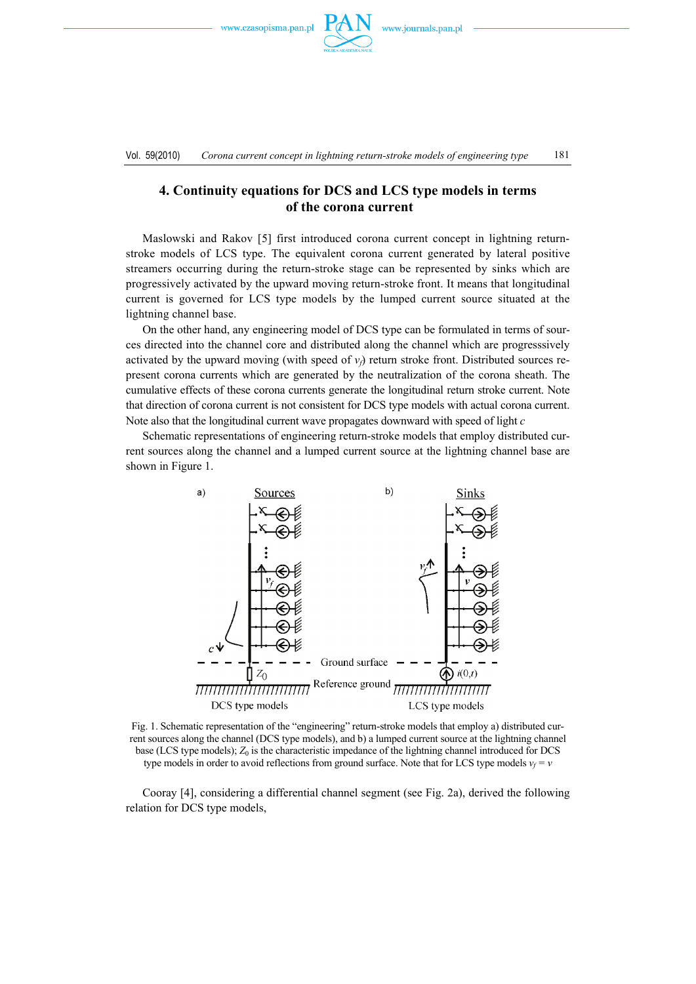

Vol. 59(2010) *Corona current concept in lightning return-stroke models of engineering type* 181

# **4. Continuity equations for DCS and LCS type models in terms of the corona current**

 Maslowski and Rakov [5] first introduced corona current concept in lightning returnstroke models of LCS type. The equivalent corona current generated by lateral positive streamers occurring during the return-stroke stage can be represented by sinks which are progressively activated by the upward moving return-stroke front. It means that longitudinal current is governed for LCS type models by the lumped current source situated at the lightning channel base.

 On the other hand, any engineering model of DCS type can be formulated in terms of sources directed into the channel core and distributed along the channel which are progresssively activated by the upward moving (with speed of  $v_f$ ) return stroke front. Distributed sources represent corona currents which are generated by the neutralization of the corona sheath. The cumulative effects of these corona currents generate the longitudinal return stroke current. Note that direction of corona current is not consistent for DCS type models with actual corona current. Note also that the longitudinal current wave propagates downward with speed of light *c*

 Schematic representations of engineering return-stroke models that employ distributed current sources along the channel and a lumped current source at the lightning channel base are shown in Figure 1.



Fig. 1. Schematic representation of the "engineering" return-stroke models that employ a) distributed current sources along the channel (DCS type models), and b) a lumped current source at the lightning channel base (LCS type models);  $Z_0$  is the characteristic impedance of the lightning channel introduced for DCS type models in order to avoid reflections from ground surface. Note that for LCS type models  $v_f = v$ 

 Cooray [4], considering a differential channel segment (see Fig. 2a), derived the following relation for DCS type models,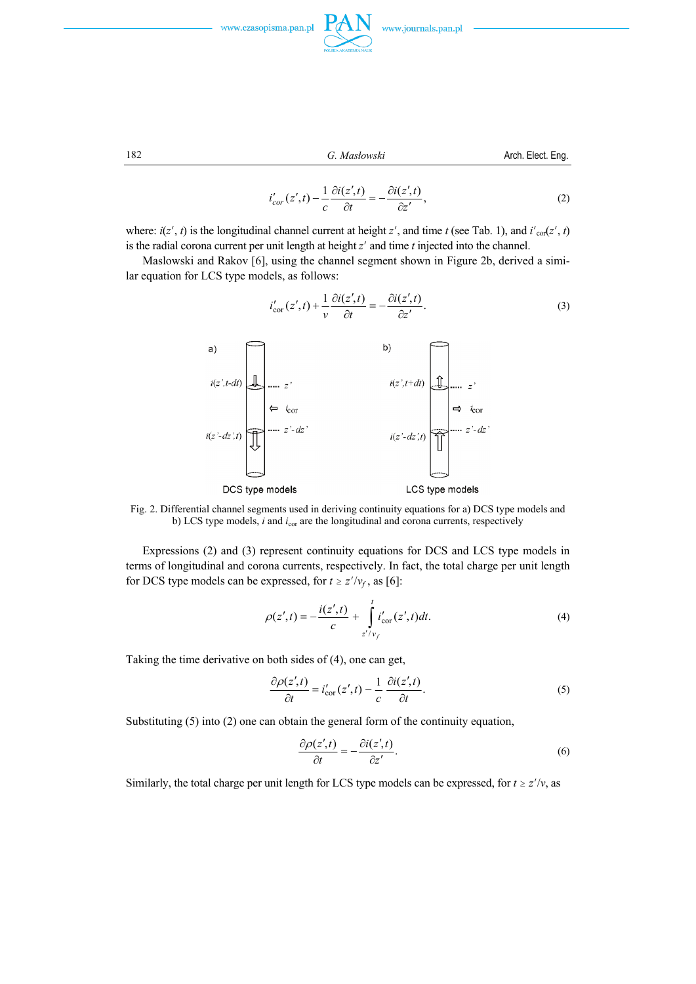



182 *G. Masłowski* Arch. Elect. Eng.

$$
i'_{cor}(z',t) - \frac{1}{c} \frac{\partial i(z',t)}{\partial t} = -\frac{\partial i(z',t)}{\partial z'},
$$
\n(2)

where:  $i(z', t)$  is the longitudinal channel current at height  $z'$ , and time  $t$  (see Tab. 1), and  $i'_{\text{cor}}(z', t)$ is the radial corona current per unit length at height *z'* and time *t* injected into the channel.

 Maslowski and Rakov [6], using the channel segment shown in Figure 2b, derived a similar equation for LCS type models, as follows:

$$
i'_{\text{cor}}(z',t) + \frac{1}{\nu} \frac{\partial i(z',t)}{\partial t} = -\frac{\partial i(z',t)}{\partial z'}.
$$
 (3)



Fig. 2. Differential channel segments used in deriving continuity equations for a) DCS type models and b) LCS type models, *i* and  $i_{cor}$  are the longitudinal and corona currents, respectively

 Expressions (2) and (3) represent continuity equations for DCS and LCS type models in terms of longitudinal and corona currents, respectively. In fact, the total charge per unit length for DCS type models can be expressed, for  $t \ge z'/v_f$ , as [6]:

$$
\rho(z',t) = -\frac{i(z',t)}{c} + \int_{z'/v_f}^{t} i'_{\text{cor}}(z',t)dt.
$$
\n(4)

Taking the time derivative on both sides of (4), one can get,

$$
\frac{\partial \rho(z',t)}{\partial t} = i'_{\text{cor}}(z',t) - \frac{1}{c} \frac{\partial i(z',t)}{\partial t}.
$$
\n(5)

Substituting (5) into (2) one can obtain the general form of the continuity equation,

$$
\frac{\partial \rho(z',t)}{\partial t} = -\frac{\partial i(z',t)}{\partial z'}.
$$
\n(6)

Similarly, the total charge per unit length for LCS type models can be expressed, for  $t \ge z'/v$ , as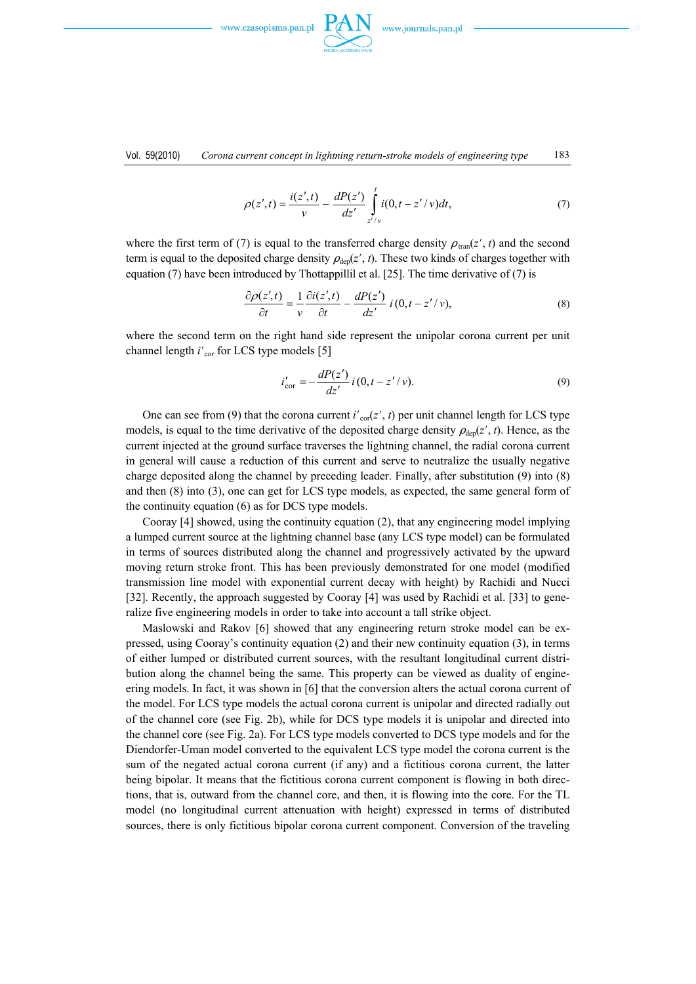



$$
\rho(z',t) = \frac{i(z',t)}{v} - \frac{dP(z')}{dz'} \int_{z'/v}^{t} i(0,t - z'/v)dt,
$$
\n(7)

where the first term of (7) is equal to the transferred charge density  $\rho_{\text{tran}}(z', t)$  and the second term is equal to the deposited charge density  $\rho_{\text{dep}}(z', t)$ . These two kinds of charges together with equation (7) have been introduced by Thottappillil et al. [25]. The time derivative of (7) is

$$
\frac{\partial \rho(z',t)}{\partial t} = \frac{1}{v} \frac{\partial i(z',t)}{\partial t} - \frac{dP(z')}{dz'} i(0, t - z'/v),\tag{8}
$$

where the second term on the right hand side represent the unipolar corona current per unit channel length *i'*<sub>cor</sub> for LCS type models [5]

$$
i'_{\text{cor}} = -\frac{dP(z')}{dz'} i (0, t - z'/v).
$$
 (9)

One can see from (9) that the corona current  $i'_{\text{cor}}(z', t)$  per unit channel length for LCS type models, is equal to the time derivative of the deposited charge density  $\rho_{\text{dep}}(z', t)$ . Hence, as the current injected at the ground surface traverses the lightning channel, the radial corona current in general will cause a reduction of this current and serve to neutralize the usually negative charge deposited along the channel by preceding leader. Finally, after substitution (9) into (8) and then (8) into (3), one can get for LCS type models, as expected, the same general form of the continuity equation (6) as for DCS type models.

 Cooray [4] showed, using the continuity equation (2), that any engineering model implying a lumped current source at the lightning channel base (any LCS type model) can be formulated in terms of sources distributed along the channel and progressively activated by the upward moving return stroke front. This has been previously demonstrated for one model (modified transmission line model with exponential current decay with height) by Rachidi and Nucci [32]. Recently, the approach suggested by Cooray [4] was used by Rachidi et al. [33] to generalize five engineering models in order to take into account a tall strike object.

 Maslowski and Rakov [6] showed that any engineering return stroke model can be expressed, using Cooray's continuity equation (2) and their new continuity equation (3), in terms of either lumped or distributed current sources, with the resultant longitudinal current distribution along the channel being the same. This property can be viewed as duality of engineering models. In fact, it was shown in [6] that the conversion alters the actual corona current of the model. For LCS type models the actual corona current is unipolar and directed radially out of the channel core (see Fig. 2b), while for DCS type models it is unipolar and directed into the channel core (see Fig. 2a). For LCS type models converted to DCS type models and for the Diendorfer-Uman model converted to the equivalent LCS type model the corona current is the sum of the negated actual corona current (if any) and a fictitious corona current, the latter being bipolar. It means that the fictitious corona current component is flowing in both directions, that is, outward from the channel core, and then, it is flowing into the core. For the TL model (no longitudinal current attenuation with height) expressed in terms of distributed sources, there is only fictitious bipolar corona current component. Conversion of the traveling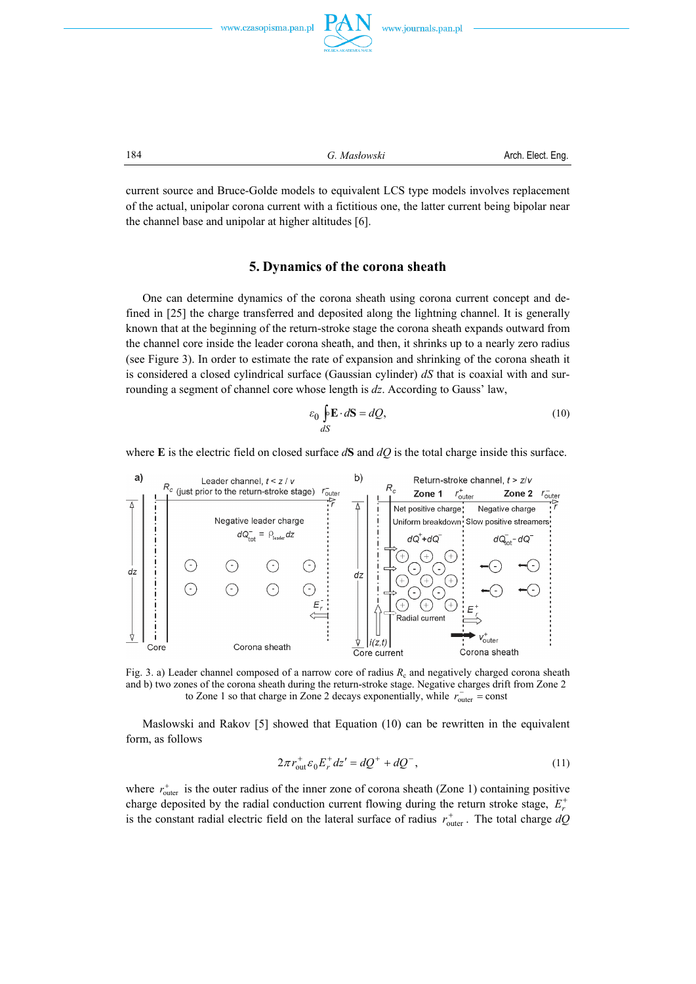



current source and Bruce-Golde models to equivalent LCS type models involves replacement of the actual, unipolar corona current with a fictitious one, the latter current being bipolar near the channel base and unipolar at higher altitudes [6].

### **5. Dynamics of the corona sheath**

 One can determine dynamics of the corona sheath using corona current concept and defined in [25] the charge transferred and deposited along the lightning channel. It is generally known that at the beginning of the return-stroke stage the corona sheath expands outward from the channel core inside the leader corona sheath, and then, it shrinks up to a nearly zero radius (see Figure 3). In order to estimate the rate of expansion and shrinking of the corona sheath it is considered a closed cylindrical surface (Gaussian cylinder) *dS* that is coaxial with and surrounding a segment of channel core whose length is *dz*. According to Gauss' law,

$$
\varepsilon_0 \oint_{dS} \mathbf{E} \cdot d\mathbf{S} = dQ,\tag{10}
$$

where **E** is the electric field on closed surface  $d\mathbf{S}$  and  $dQ$  is the total charge inside this surface.



Fig. 3. a) Leader channel composed of a narrow core of radius  $R_c$  and negatively charged corona sheath and b) two zones of the corona sheath during the return-stroke stage. Negative charges drift from Zone 2 to Zone 1 so that charge in Zone 2 decays exponentially, while  $r_{\text{outer}}^-$  = const

 Maslowski and Rakov [5] showed that Equation (10) can be rewritten in the equivalent form, as follows

$$
2\pi r_{out}^+ \varepsilon_0 E_r^+ dz' = dQ^+ + dQ^-, \qquad (11)
$$

where  $r_{\text{outer}}^+$  is the outer radius of the inner zone of corona sheath (Zone 1) containing positive charge deposited by the radial conduction current flowing during the return stroke stage,  $E_r^+$ is the constant radial electric field on the lateral surface of radius  $r_{\text{outer}}^+$ . The total charge  $dQ$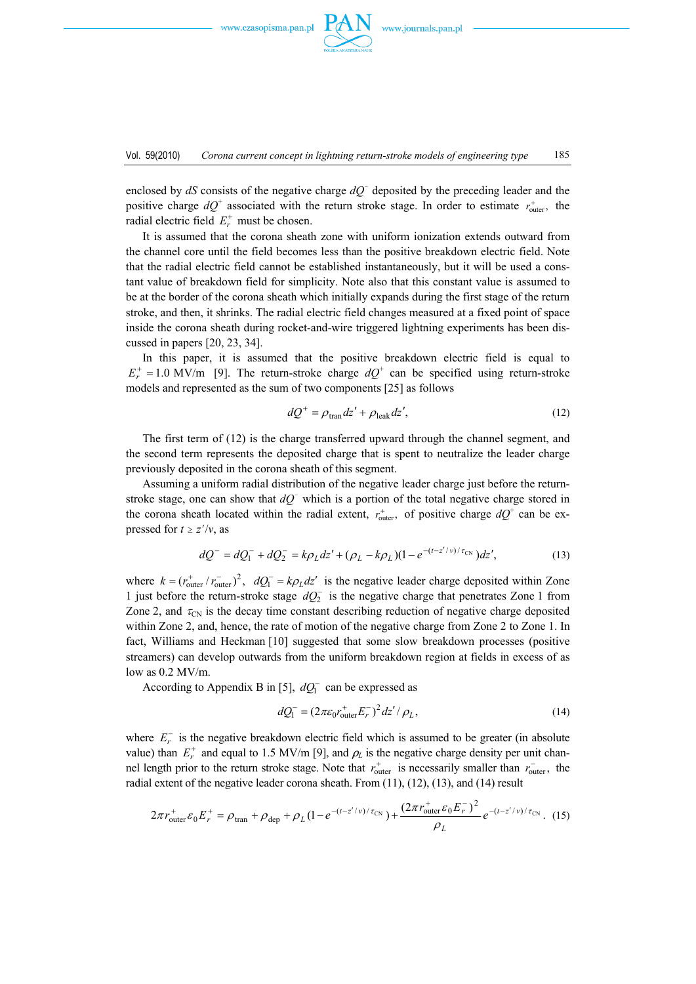

enclosed by  $dS$  consists of the negative charge  $dQ$ <sup> $\bar{Q}$ </sup> deposited by the preceding leader and the positive charge  $dQ^+$  associated with the return stroke stage. In order to estimate  $r_{\text{outer}}^+$ , the radial electric field  $E_r^+$  must be chosen.

 It is assumed that the corona sheath zone with uniform ionization extends outward from the channel core until the field becomes less than the positive breakdown electric field. Note that the radial electric field cannot be established instantaneously, but it will be used a constant value of breakdown field for simplicity. Note also that this constant value is assumed to be at the border of the corona sheath which initially expands during the first stage of the return stroke, and then, it shrinks. The radial electric field changes measured at a fixed point of space inside the corona sheath during rocket-and-wire triggered lightning experiments has been discussed in papers [20, 23, 34].

 In this paper, it is assumed that the positive breakdown electric field is equal to  $E_r^+ = 1.0$  MV/m [9]. The return-stroke charge  $dQ^+$  can be specified using return-stroke models and represented as the sum of two components [25] as follows

$$
dQ^{+} = \rho_{\text{tran}} dz' + \rho_{\text{leak}} dz',\tag{12}
$$

 The first term of (12) is the charge transferred upward through the channel segment, and the second term represents the deposited charge that is spent to neutralize the leader charge previously deposited in the corona sheath of this segment.

 Assuming a uniform radial distribution of the negative leader charge just before the returnstroke stage, one can show that  $dQ^-$  which is a portion of the total negative charge stored in the corona sheath located within the radial extent,  $r_{\text{outer}}^+$ , of positive charge  $dQ^+$  can be expressed for  $t \ge z'/v$ , as

$$
dQ^{-} = dQ_{1}^{-} + dQ_{2}^{-} = k\rho_{L}dz' + (\rho_{L} - k\rho_{L})(1 - e^{-(t - z'/\nu)/\tau_{CN}})dz',
$$
\n(13)

where  $k = (r_{\text{outer}}^+ / r_{\text{outer}}^-)^2$ ,  $dQ_l^- = k\rho_L dz'$  is the negative leader charge deposited within Zone 1 just before the return-stroke stage  $dQ_2^-$  is the negative charge that penetrates Zone 1 from Zone 2, and  $\tau_{CN}$  is the decay time constant describing reduction of negative charge deposited within Zone 2, and, hence, the rate of motion of the negative charge from Zone 2 to Zone 1. In fact, Williams and Heckman [10] suggested that some slow breakdown processes (positive streamers) can develop outwards from the uniform breakdown region at fields in excess of as low as 0.2 MV/m.

According to Appendix B in [5],  $dQ_1^-$  can be expressed as

$$
dQ_1^- = (2\pi\varepsilon_0 r_{\text{outer}}^+ E_r^-)^2 dz' / \rho_L,\tag{14}
$$

where  $E_r^-$  is the negative breakdown electric field which is assumed to be greater (in absolute value) than  $E_r^+$  and equal to 1.5 MV/m [9], and  $\rho_L$  is the negative charge density per unit channel length prior to the return stroke stage. Note that  $r_{\text{outer}}^+$  is necessarily smaller than  $r_{\text{outer}}^-$ , the radial extent of the negative leader corona sheath. From (11), (12), (13), and (14) result

$$
2\pi r_{\text{outer}}^+ \varepsilon_0 E_r^+ = \rho_{\text{tran}} + \rho_{\text{dep}} + \rho_L (1 - e^{-(t - z'/v)/\tau_{\text{CN}}}) + \frac{(2\pi r_{\text{outer}}^+ \varepsilon_0 E_r^-)^2}{\rho_L} e^{-(t - z'/v)/\tau_{\text{CN}}}.
$$
 (15)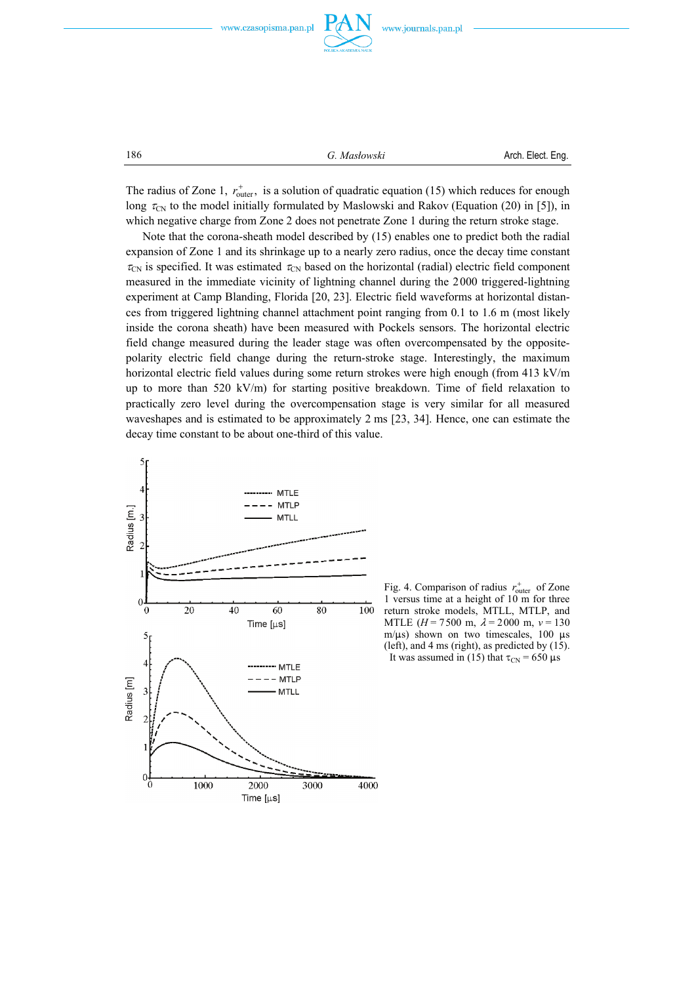

186 *G. Masłowski* Arch. Elect. Eng.

The radius of Zone 1,  $r_{\text{outer}}^+$ , is a solution of quadratic equation (15) which reduces for enough long  $\tau_{CN}$  to the model initially formulated by Maslowski and Rakov (Equation (20) in [5]), in which negative charge from Zone 2 does not penetrate Zone 1 during the return stroke stage.

 Note that the corona-sheath model described by (15) enables one to predict both the radial expansion of Zone 1 and its shrinkage up to a nearly zero radius, once the decay time constant  $\tau_{CN}$  is specified. It was estimated  $\tau_{CN}$  based on the horizontal (radial) electric field component measured in the immediate vicinity of lightning channel during the 2000 triggered-lightning experiment at Camp Blanding, Florida [20, 23]. Electric field waveforms at horizontal distances from triggered lightning channel attachment point ranging from 0.1 to 1.6 m (most likely inside the corona sheath) have been measured with Pockels sensors. The horizontal electric field change measured during the leader stage was often overcompensated by the oppositepolarity electric field change during the return-stroke stage. Interestingly, the maximum horizontal electric field values during some return strokes were high enough (from 413 kV/m up to more than 520 kV/m) for starting positive breakdown. Time of field relaxation to practically zero level during the overcompensation stage is very similar for all measured waveshapes and is estimated to be approximately 2 ms [23, 34]. Hence, one can estimate the decay time constant to be about one-third of this value.



Fig. 4. Comparison of radius  $r_{\text{outer}}^+$  of Zone 1 versus time at a height of 10 m for three return stroke models, MTLL, MTLP, and MTLE  $(H = 7500 \text{ m}, \lambda = 2000 \text{ m}, \nu = 130 \text{ m})$ m/ $\mu$ s) shown on two timescales, 100  $\mu$ s (left), and 4 ms (right), as predicted by (15). It was assumed in (15) that  $\tau_{CN}$  = 650  $\mu$ s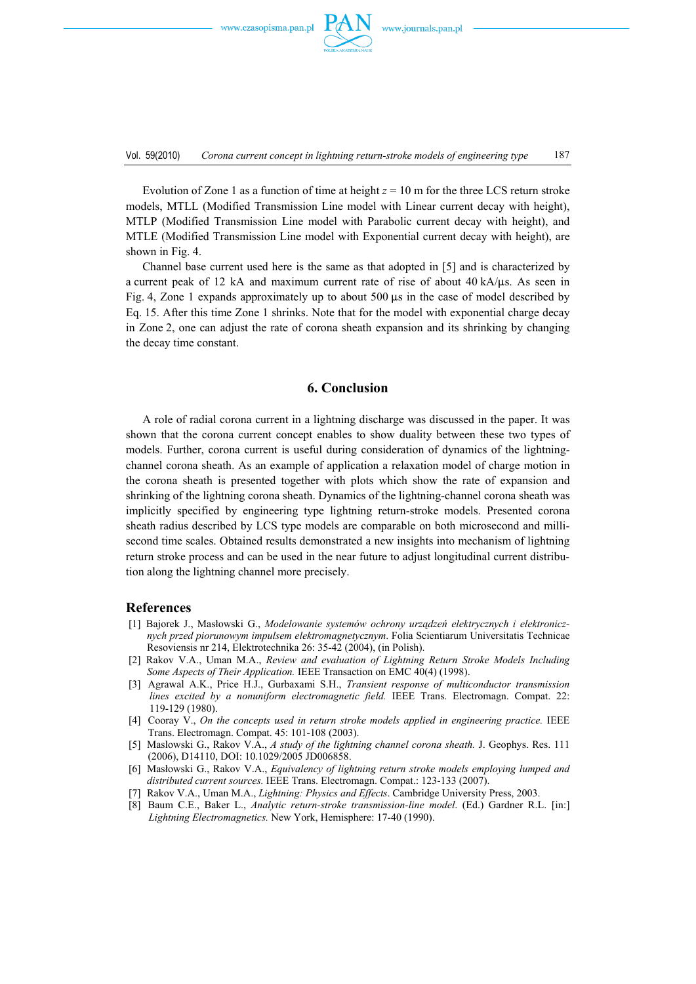

Vol. 59(2010) *Corona current concept in lightning return-stroke models of engineering type* 187

Evolution of Zone 1 as a function of time at height  $z = 10$  m for the three LCS return stroke models, MTLL (Modified Transmission Line model with Linear current decay with height), MTLP (Modified Transmission Line model with Parabolic current decay with height), and MTLE (Modified Transmission Line model with Exponential current decay with height), are shown in Fig. 4.

 Channel base current used here is the same as that adopted in [5] and is characterized by a current peak of 12 kA and maximum current rate of rise of about  $40 \text{ kA/µs}$ . As seen in Fig. 4, Zone 1 expands approximately up to about 500  $\mu$ s in the case of model described by Eq. 15. After this time Zone 1 shrinks. Note that for the model with exponential charge decay in Zone 2, one can adjust the rate of corona sheath expansion and its shrinking by changing the decay time constant.

#### **6. Conclusion**

 A role of radial corona current in a lightning discharge was discussed in the paper. It was shown that the corona current concept enables to show duality between these two types of models. Further, corona current is useful during consideration of dynamics of the lightningchannel corona sheath. As an example of application a relaxation model of charge motion in the corona sheath is presented together with plots which show the rate of expansion and shrinking of the lightning corona sheath. Dynamics of the lightning-channel corona sheath was implicitly specified by engineering type lightning return-stroke models. Presented corona sheath radius described by LCS type models are comparable on both microsecond and millisecond time scales. Obtained results demonstrated a new insights into mechanism of lightning return stroke process and can be used in the near future to adjust longitudinal current distribution along the lightning channel more precisely.

### **References**

- [1] Bajorek J., Masłowski G., *Modelowanie systemów ochrony urządzeń elektrycznych i elektronicznych przed piorunowym impulsem elektromagnetycznym*. Folia Scientiarum Universitatis Technicae Resoviensis nr 214, Elektrotechnika 26: 35-42 (2004), (in Polish).
- [2] Rakov V.A., Uman M.A., *Review and evaluation of Lightning Return Stroke Models Including Some Aspects of Their Application.* IEEE Transaction on EMC 40(4) (1998).
- [3] Agrawal A.K., Price H.J., Gurbaxami S.H., *Transient response of multiconductor transmission lines excited by a nonuniform electromagnetic field.* IEEE Trans. Electromagn. Compat. 22: 119-129 (1980).
- [4] Cooray V., *On the concepts used in return stroke models applied in engineering practice.* IEEE Trans. Electromagn. Compat. 45: 101-108 (2003).
- [5] Maslowski G., Rakov V.A., *A study of the lightning channel corona sheath.* J. Geophys. Res. 111 (2006), D14110, DOI: 10.1029/2005 JD006858.
- [6] Masłowski G., Rakov V.A., *Equivalency of lightning return stroke models employing lumped and distributed current sources.* IEEE Trans. Electromagn. Compat.: 123-133 (2007).
- [7] Rakov V.A., Uman M.A., *Lightning: Physics and Effects*. Cambridge University Press, 2003.
- [8] Baum C.E., Baker L., *Analytic return-stroke transmission-line model*. (Ed.) Gardner R.L. [in:] *Lightning Electromagnetics.* New York, Hemisphere: 17-40 (1990).